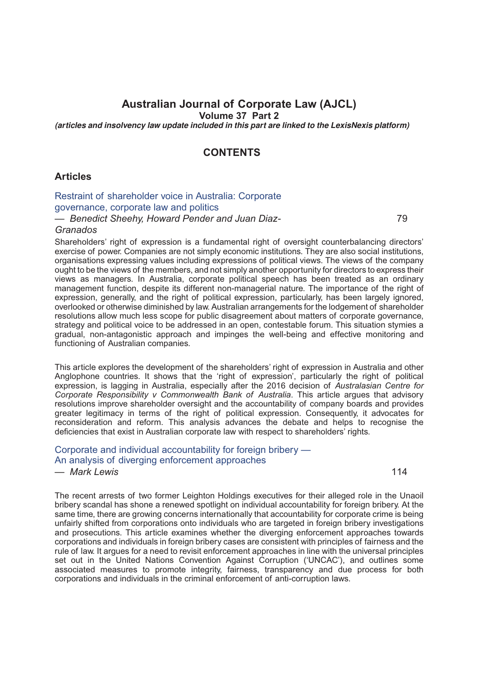# **Australian Journal of Corporate Law (AJCL)**

**Volume 37 Part 2**

*(articles and insolvency law update included in this part are linked to the LexisNexis platform)*

### **CONTENTS**

#### **Articles**

# Restraint of [shareholder](http://advance.lexis.com/api/document?idtype=DOC-ID&id=005K-37AJCL79) voice in Australia: Corporate [governance,](http://advance.lexis.com/api/document?idtype=DOC-ID&id=005K-37AJCL79) corporate law and politics

*— Benedict Sheehy, Howard Pender and Juan Diaz-*

#### *Granados*

Shareholders' right of expression is a fundamental right of oversight counterbalancing directors' exercise of power. Companies are not simply economic institutions. They are also social institutions, organisations expressing values including expressions of political views. The views of the company ought to be the views of the members, and not simply another opportunity for directors to express their views as managers. In Australia, corporate political speech has been treated as an ordinary management function, despite its different non-managerial nature. The importance of the right of expression, generally, and the right of political expression, particularly, has been largely ignored, overlooked or otherwise diminished by law. Australian arrangements for the lodgement of shareholder resolutions allow much less scope for public disagreement about matters of corporate governance, strategy and political voice to be addressed in an open, contestable forum. This situation stymies a gradual, non-antagonistic approach and impinges the well-being and effective monitoring and functioning of Australian companies.

This article explores the development of the shareholders' right of expression in Australia and other Anglophone countries. It shows that the 'right of expression', particularly the right of political expression, is lagging in Australia, especially after the 2016 decision of *Australasian Centre for Corporate Responsibility v Commonwealth Bank of Australia*. This article argues that advisory resolutions improve shareholder oversight and the accountability of company boards and provides greater legitimacy in terms of the right of political expression. Consequently, it advocates for reconsideration and reform. This analysis advances the debate and helps to recognise the deficiencies that exist in Australian corporate law with respect to shareholders' rights.

### [Corporate and individual accountability for foreign bribery —](http://advance.lexis.com/api/document?idtype=DOC-ID&id=005K-37AJCL114) An [analysis of diverging enforcement approaches](http://advance.lexis.com/api/document?idtype=DOC-ID&id=005K-37AJCL114)

*— Mark Lewis* 114

79

The recent arrests of two former Leighton Holdings executives for their alleged role in the Unaoil bribery scandal has shone a renewed spotlight on individual accountability for foreign bribery. At the same time, there are growing concerns internationally that accountability for corporate crime is being unfairly shifted from corporations onto individuals who are targeted in foreign bribery investigations and prosecutions. This article examines whether the diverging enforcement approaches towards corporations and individuals in foreign bribery cases are consistent with principles of fairness and the rule of law. It argues for a need to revisit enforcement approaches in line with the universal principles set out in the United Nations Convention Against Corruption ('UNCAC'), and outlines some associated measures to promote integrity, fairness, transparency and due process for both corporations and individuals in the criminal enforcement of anti-corruption laws.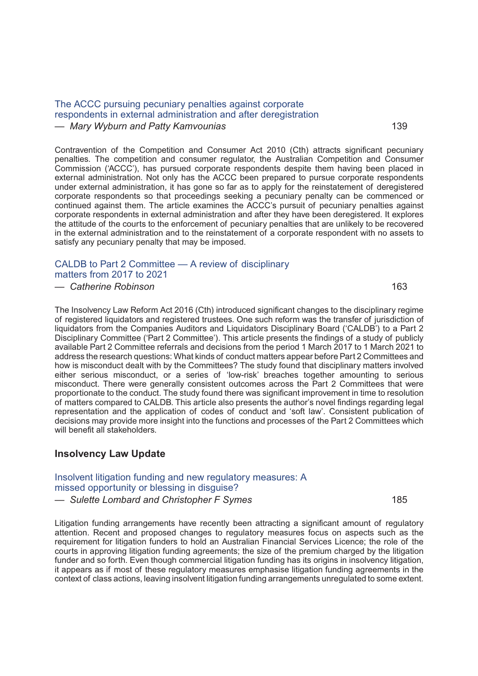#### The ACCC pursuing [pecuniary](http://advance.lexis.com/api/document?idtype=DOC-ID&id=005K-37AJCL139) penalties against corporate respondents in external [administration](http://advance.lexis.com/api/document?idtype=DOC-ID&id=005K-37AJCL139) and after deregistration

*— Mary Wyburn and Patty Kamvounias* 139

Contravention of the Competition and Consumer Act 2010 (Cth) attracts significant pecuniary penalties. The competition and consumer regulator, the Australian Competition and Consumer Commission ('ACCC'), has pursued corporate respondents despite them having been placed in external administration. Not only has the ACCC been prepared to pursue corporate respondents under external administration, it has gone so far as to apply for the reinstatement of deregistered corporate respondents so that proceedings seeking a pecuniary penalty can be commenced or continued against them. The article examines the ACCC's pursuit of pecuniary penalties against corporate respondents in external administration and after they have been deregistered. It explores the attitude of the courts to the enforcement of pecuniary penalties that are unlikely to be recovered in the external administration and to the reinstatement of a corporate respondent with no assets to satisfy any pecuniary penalty that may be imposed.

### [CALDB to Part 2 Committee — A review of disciplinary](http://advance.lexis.com/api/document?idtype=DOC-ID&id=005K-37AJCL163) [matters from 2017 to 2021](http://advance.lexis.com/api/document?idtype=DOC-ID&id=005K-37AJCL163)

*— Catherine Robinson* 163

The Insolvency Law Reform Act 2016 (Cth) introduced significant changes to the disciplinary regime of registered liquidators and registered trustees. One such reform was the transfer of jurisdiction of liquidators from the Companies Auditors and Liquidators Disciplinary Board ('CALDB') to a Part 2 Disciplinary Committee ('Part 2 Committee'). This article presents the findings of a study of publicly available Part 2 Committee referrals and decisions from the period 1 March 2017 to 1 March 2021 to address the research questions: What kinds of conduct matters appear before Part 2 Committees and how is misconduct dealt with by the Committees? The study found that disciplinary matters involved either serious misconduct, or a series of 'low-risk' breaches together amounting to serious misconduct. There were generally consistent outcomes across the Part 2 Committees that were proportionate to the conduct. The study found there was significant improvement in time to resolution of matters compared to CALDB. This article also presents the author's novel findings regarding legal representation and the application of codes of conduct and 'soft law'. Consistent publication of decisions may provide more insight into the functions and processes of the Part 2 Committees which will benefit all stakeholders.

## **Insolvency Law Update**

#### Insolvent litigation funding and new regulatory [measures:](http://advance.lexis.com/api/document?idtype=DOC-ID&id=005K-37AJCL185) A missed [opportunity](http://advance.lexis.com/api/document?idtype=DOC-ID&id=005K-37AJCL185) or blessing in disguise?

*— Sulette Lombard and Christopher F Symes* 185

Litigation funding arrangements have recently been attracting a significant amount of regulatory attention. Recent and proposed changes to regulatory measures focus on aspects such as the requirement for litigation funders to hold an Australian Financial Services Licence; the role of the courts in approving litigation funding agreements; the size of the premium charged by the litigation funder and so forth. Even though commercial litigation funding has its origins in insolvency litigation, it appears as if most of these regulatory measures emphasise litigation funding agreements in the context of class actions, leaving insolvent litigation funding arrangements unregulated to some extent.